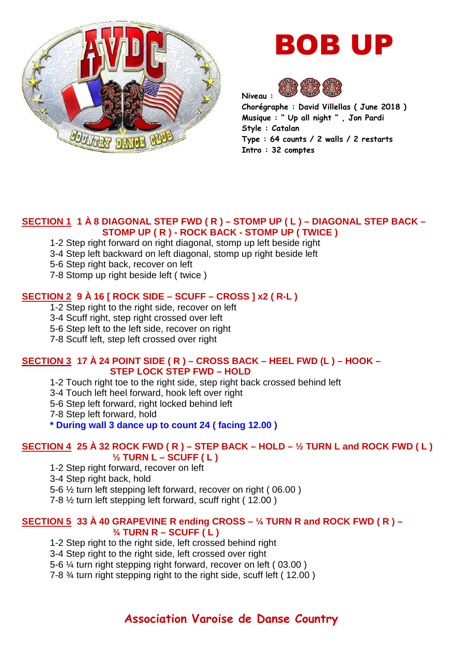

# BOB UP



**Chorégraphe : David Villellas ( June 2018 ) Musique : " Up all night " , Jon Pardi Style : Catalan Type : 64 counts / 2 walls / 2 restarts Intro : 32 comptes** 

### **SECTION 1 1 À 8 DIAGONAL STEP FWD ( R ) – STOMP UP ( L ) – DIAGONAL STEP BACK – STOMP UP ( R ) - ROCK BACK - STOMP UP ( TWICE )**

- 1-2 Step right forward on right diagonal, stomp up left beside right
- 3-4 Step left backward on left diagonal, stomp up right beside left
- 5-6 Step right back, recover on left
- 7-8 Stomp up right beside left ( twice )

## **SECTION 2 9 À 16 [ ROCK SIDE – SCUFF – CROSS ] x2 ( R-L )**

1-2 Step right to the right side, recover on left

- 3-4 Scuff right, step right crossed over left
- 5-6 Step left to the left side, recover on right
- 7-8 Scuff left, step left crossed over right

### **SECTION 3 17 À 24 POINT SIDE ( R ) – CROSS BACK – HEEL FWD (L ) – HOOK – STEP LOCK STEP FWD – HOLD**

- 1-2 Touch right toe to the right side, step right back crossed behind left
- 3-4 Touch left heel forward, hook left over right
- 5-6 Step left forward, right locked behind left

7-8 Step left forward, hold

**\* During wall 3 dance up to count 24 ( facing 12.00 )** 

# **SECTION 4 25 À 32 ROCK FWD ( R ) – STEP BACK – HOLD – ½ TURN L and ROCK FWD ( L ) ½ TURN L – SCUFF ( L )**

1-2 Step right forward, recover on left

3-4 Step right back, hold

5-6 ½ turn left stepping left forward, recover on right ( 06.00 )

7-8 ½ turn left stepping left forward, scuff right ( 12.00 )

## **SECTION 5 33 À 40 GRAPEVINE R ending CROSS – ¼ TURN R and ROCK FWD ( R ) – ¾ TURN R – SCUFF ( L )**

1-2 Step right to the right side, left crossed behind right

3-4 Step right to the right side, left crossed over right

5-6 ¼ turn right stepping right forward, recover on left ( 03.00 )

7-8 ¾ turn right stepping right to the right side, scuff left ( 12.00 )

# **Association Varoise de Danse Country**